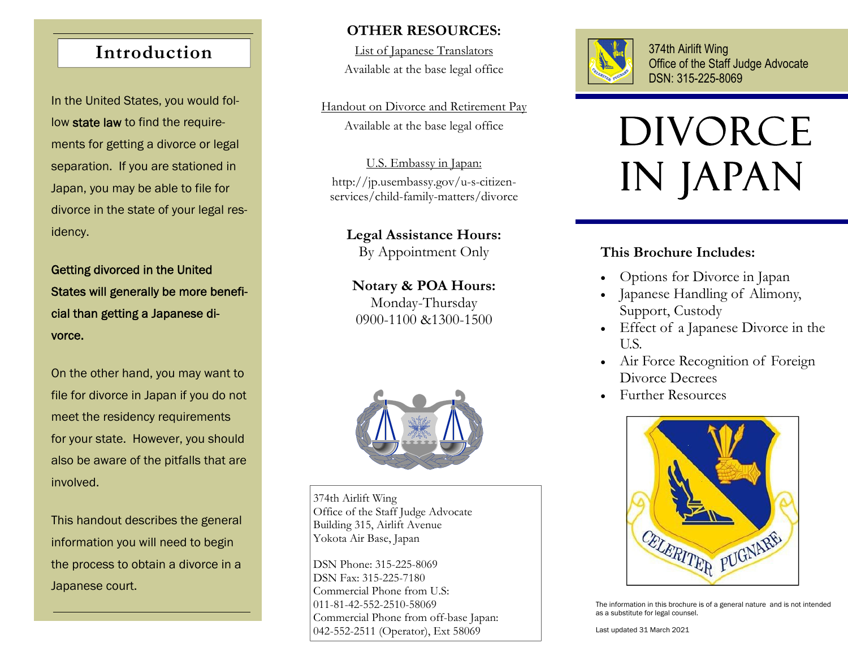## **Introduction**

In the United States, you would follow state law to find the requirements for getting a divorce or legal separation. If you are stationed in Japan, you may be able to file for divorce in the state of your legal residency.

Getting divorced in the United States will generally be more beneficial than getting a Japanese divorce.

On the other hand, you may want to file for divorce in Japan if you do not meet the residency requirements for your state. However, you should also be aware of the pitfalls that are involved.

This handout describes the general information you will need to begin the process to obtain a divorce in a Japanese court.

#### **OTHER RESOURCES:**

List of Japanese Translators Available at the base legal office

Handout on Divorce and Retirement Pay Available at the base legal office

U.S. Embassy in Japan: http://jp.usembassy.gov/u-s-citizenservices/child-family-matters/divorce

**Legal Assistance Hours:**  By Appointment Only

**Notary & POA Hours:**  Monday-Thursday 0900-1100 &1300-1500



374th Airlift Wing Office of the Staff Judge Advocate Building 315, Airlift Avenue Yokota Air Base, Japan

DSN Phone: 315-225-8069 DSN Fax: 315-225-7180 Commercial Phone from U.S: 011-81-42-552-2510-58069 Commercial Phone from off-base Japan: 042-552-2511 (Operator), Ext 58069



374th Airlift Wing Office of the Staff Judge Advocate DSN: 315-225-8069

# **DIVORCE** in Japan

## **This Brochure Includes:**

- Options for Divorce in Japan
- $\bullet$  Japanese Handling of Alimony, Support, Custody
- Effect of a Japanese Divorce in the U.S.
- Air Force Recognition of Foreign Divorce Decrees
- Further Resources



The information in this brochure is of a general nature and is not intended as a substitute for legal counsel.